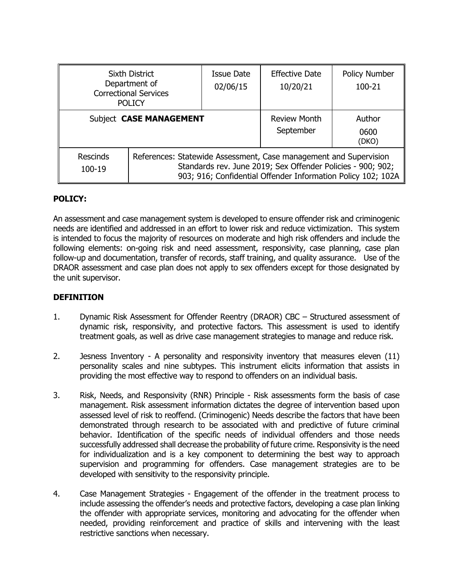| Sixth District<br>Department of<br><b>Correctional Services</b><br><b>POLICY</b> |                                                                                                                                                                                                  | <b>Issue Date</b><br>02/06/15 | <b>Effective Date</b><br>10/20/21 | Policy Number<br>100-21 |
|----------------------------------------------------------------------------------|--------------------------------------------------------------------------------------------------------------------------------------------------------------------------------------------------|-------------------------------|-----------------------------------|-------------------------|
| Subject CASE MANAGEMENT                                                          |                                                                                                                                                                                                  |                               | <b>Review Month</b><br>September  | Author<br>0600<br>(DKO) |
| <b>Rescinds</b><br>100-19                                                        | References: Statewide Assessment, Case management and Supervision<br>Standards rev. June 2019; Sex Offender Policies - 900; 902;<br>903; 916; Confidential Offender Information Policy 102; 102A |                               |                                   |                         |

# **POLICY:**

An assessment and case management system is developed to ensure offender risk and criminogenic needs are identified and addressed in an effort to lower risk and reduce victimization. This system is intended to focus the majority of resources on moderate and high risk offenders and include the following elements: on-going risk and need assessment, responsivity, case planning, case plan follow-up and documentation, transfer of records, staff training, and quality assurance. Use of the DRAOR assessment and case plan does not apply to sex offenders except for those designated by the unit supervisor.

# **DEFINITION**

- 1. Dynamic Risk Assessment for Offender Reentry (DRAOR) CBC Structured assessment of dynamic risk, responsivity, and protective factors. This assessment is used to identify treatment goals, as well as drive case management strategies to manage and reduce risk.
- 2. Jesness Inventory A personality and responsivity inventory that measures eleven (11) personality scales and nine subtypes. This instrument elicits information that assists in providing the most effective way to respond to offenders on an individual basis.
- 3. Risk, Needs, and Responsivity (RNR) Principle Risk assessments form the basis of case management. Risk assessment information dictates the degree of intervention based upon assessed level of risk to reoffend. (Criminogenic) Needs describe the factors that have been demonstrated through research to be associated with and predictive of future criminal behavior. Identification of the specific needs of individual offenders and those needs successfully addressed shall decrease the probability of future crime. Responsivity is the need for individualization and is a key component to determining the best way to approach supervision and programming for offenders. Case management strategies are to be developed with sensitivity to the responsivity principle.
- 4. Case Management Strategies Engagement of the offender in the treatment process to include assessing the offender's needs and protective factors, developing a case plan linking the offender with appropriate services, monitoring and advocating for the offender when needed, providing reinforcement and practice of skills and intervening with the least restrictive sanctions when necessary.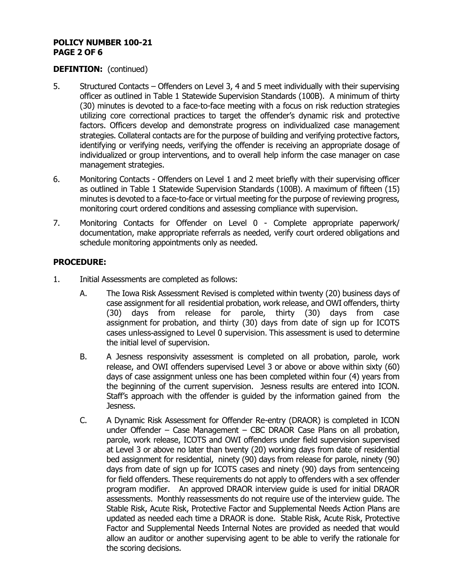#### **POLICY NUMBER 100-21 PAGE 2 OF 6**

## **DEFINTION:** (continued)

- 5. Structured Contacts Offenders on Level 3, 4 and 5 meet individually with their supervising officer as outlined in Table 1 Statewide Supervision Standards (100B). A minimum of thirty (30) minutes is devoted to a face-to-face meeting with a focus on risk reduction strategies utilizing core correctional practices to target the offender's dynamic risk and protective factors. Officers develop and demonstrate progress on individualized case management strategies. Collateral contacts are for the purpose of building and verifying protective factors, identifying or verifying needs, verifying the offender is receiving an appropriate dosage of individualized or group interventions, and to overall help inform the case manager on case management strategies.
- 6. Monitoring Contacts Offenders on Level 1 and 2 meet briefly with their supervising officer as outlined in Table 1 Statewide Supervision Standards (100B). A maximum of fifteen (15) minutes is devoted to a face-to-face or virtual meeting for the purpose of reviewing progress, monitoring court ordered conditions and assessing compliance with supervision.
- 7. Monitoring Contacts for Offender on Level 0 Complete appropriate paperwork/ documentation, make appropriate referrals as needed, verify court ordered obligations and schedule monitoring appointments only as needed.

## **PROCEDURE:**

- 1. Initial Assessments are completed as follows:
	- A. The Iowa Risk Assessment Revised is completed within twenty (20) business days of case assignment for all residential probation, work release, and OWI offenders, thirty (30) days from release for parole, thirty (30) days from case assignment for probation, and thirty (30) days from date of sign up for ICOTS cases unless assigned to Level 0 supervision. This assessment is used to determine the initial level of supervision.
	- B. A Jesness responsivity assessment is completed on all probation, parole, work release, and OWI offenders supervised Level 3 or above or above within sixty (60) days of case assignment unless one has been completed within four (4) years from the beginning of the current supervision. Jesness results are entered into ICON. Staff's approach with the offender is guided by the information gained from the Jesness.
	- C. A Dynamic Risk Assessment for Offender Re-entry (DRAOR) is completed in ICON under Offender – Case Management – CBC DRAOR Case Plans on all probation, parole, work release, ICOTS and OWI offenders under field supervision supervised at Level 3 or above no later than twenty (20) working days from date of residential bed assignment for residential, ninety (90) days from release for parole, ninety (90) days from date of sign up for ICOTS cases and ninety (90) days from sentenceing for field offenders. These requirements do not apply to offenders with a sex offender program modifier. An approved DRAOR interview guide is used for initial DRAOR assessments. Monthly reassessments do not require use of the interview guide. The Stable Risk, Acute Risk, Protective Factor and Supplemental Needs Action Plans are updated as needed each time a DRAOR is done. Stable Risk, Acute Risk, Protective Factor and Supplemental Needs Internal Notes are provided as needed that would allow an auditor or another supervising agent to be able to verify the rationale for the scoring decisions.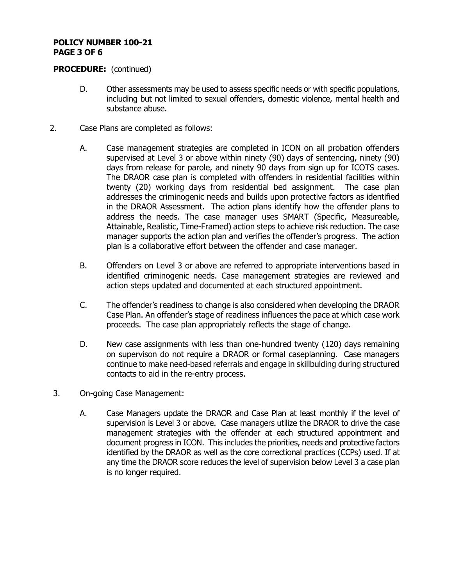### **POLICY NUMBER 100-21 PAGE 3 OF 6**

## **PROCEDURE:** (continued)

- D. Other assessments may be used to assess specific needs or with specific populations, including but not limited to sexual offenders, domestic violence, mental health and substance abuse.
- 2. Case Plans are completed as follows:
	- A. Case management strategies are completed in ICON on all probation offenders supervised at Level 3 or above within ninety (90) days of sentencing, ninety (90) days from release for parole, and ninety 90 days from sign up for ICOTS cases. The DRAOR case plan is completed with offenders in residential facilities within twenty (20) working days from residential bed assignment. The case plan addresses the criminogenic needs and builds upon protective factors as identified in the DRAOR Assessment. The action plans identify how the offender plans to address the needs. The case manager uses SMART (Specific, Measureable, Attainable, Realistic, Time-Framed) action steps to achieve risk reduction. The case manager supports the action plan and verifies the offender's progress. The action plan is a collaborative effort between the offender and case manager.
	- B. Offenders on Level 3 or above are referred to appropriate interventions based in identified criminogenic needs. Case management strategies are reviewed and action steps updated and documented at each structured appointment.
	- C. The offender's readiness to change is also considered when developing the DRAOR Case Plan. An offender's stage of readiness influences the pace at which case work proceeds. The case plan appropriately reflects the stage of change.
	- D. New case assignments with less than one-hundred twenty (120) days remaining on supervison do not require a DRAOR or formal caseplanning. Case managers continue to make need-based referrals and engage in skillbulding during structured contacts to aid in the re-entry process.
- 3. On-going Case Management:
	- A. Case Managers update the DRAOR and Case Plan at least monthly if the level of supervision is Level 3 or above. Case managers utilize the DRAOR to drive the case management strategies with the offender at each structured appointment and document progress in ICON. This includes the priorities, needs and protective factors identified by the DRAOR as well as the core correctional practices (CCPs) used. If at any time the DRAOR score reduces the level of supervision below Level 3 a case plan is no longer required.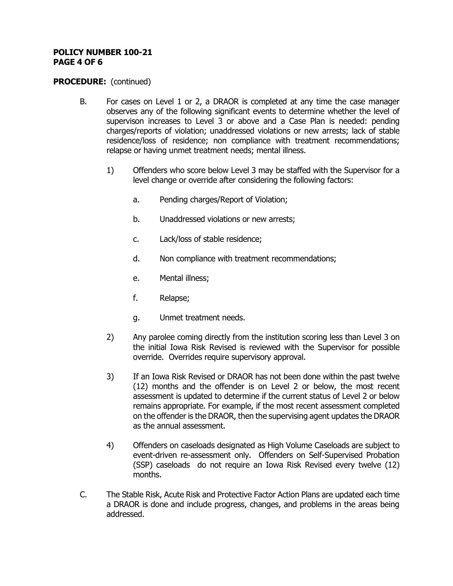#### **POLICY NUMBER 100-21 PAGE 4 OF 6**

### **PROCEDURE:** (continued)

- B. For cases on Level 1 or 2, a DRAOR is completed at any time the case manager observes any of the following significant events to determine whether the level of supervison increases to Level 3 or above and a Case Plan is needed: pending charges/reports of violation; unaddressed violations or new arrests; lack of stable residence/loss of residence; non compliance with treatment recommendations; relapse or having unmet treatment needs; mental illness.
	- 1) Offenders who score below Level 3 may be staffed with the Supervisor for a level change or override after considering the following factors:
		- a. Pending charges/Report of Violation;
		- b. Unaddressed violations or new arrests;
		- c. Lack/loss of stable residence;
		- d. Non compliance with treatment recommendations;
		- e. Mental illness;
		- f. Relapse;
		- g. Unmet treatment needs.
	- 2) Any parolee coming directly from the institution scoring less than Level 3 on the initial Iowa Risk Revised is reviewed with the Supervisor for possible override. Overrides require supervisory approval.
	- 3) If an Iowa Risk Revised or DRAOR has not been done within the past twelve (12) months and the offender is on Level 2 or below, the most recent assessment is updated to determine if the current status of Level 2 or below remains appropriate. For example, if the most recent assessment completed on the offender is the DRAOR, then the supervising agent updates the DRAOR as the annual assessment.
	- 4) Offenders on caseloads designated as High Volume Caseloads are subject to event-driven re-assessment only. Offenders on Self-Supervised Probation (SSP) caseloads do not require an Iowa Risk Revised every twelve (12) months.
- C. The Stable Risk, Acute Risk and Protective Factor Action Plans are updated each time a DRAOR is done and include progress, changes, and problems in the areas being addressed.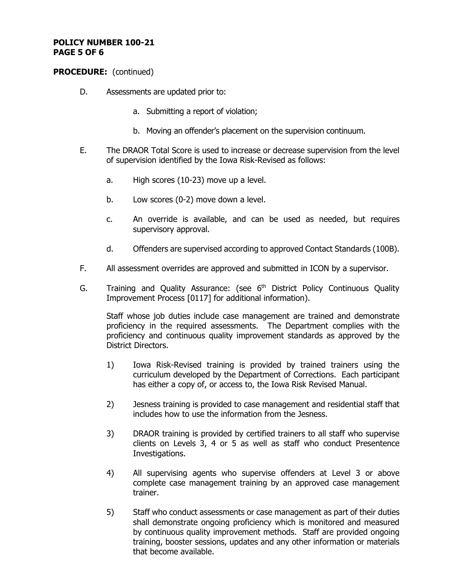#### **POLICY NUMBER 100-21 PAGE 5 OF 6**

### **PROCEDURE:** (continued)

- D. Assessments are updated prior to:
	- a. Submitting a report of violation;
	- b. Moving an offender's placement on the supervision continuum.
- E. The DRAOR Total Score is used to increase or decrease supervision from the level of supervision identified by the Iowa Risk-Revised as follows:
	- a. High scores (10-23) move up a level.
	- b. Low scores (0-2) move down a level.
	- c. An override is available, and can be used as needed, but requires supervisory approval.
	- d. Offenders are supervised according to approved Contact Standards (100B).
- F. All assessment overrides are approved and submitted in ICON by a supervisor.
- G. Training and Quality Assurance: (see 6<sup>th</sup> District Policy Continuous Quality Improvement Process [0117] for additional information).

Staff whose job duties include case management are trained and demonstrate proficiency in the required assessments. The Department complies with the proficiency and continuous quality improvement standards as approved by the District Directors.

- 1) Iowa Risk-Revised training is provided by trained trainers using the curriculum developed by the Department of Corrections. Each participant has either a copy of, or access to, the Iowa Risk Revised Manual.
- 2) Jesness training is provided to case management and residential staff that includes how to use the information from the Jesness.
- 3) DRAOR training is provided by certified trainers to all staff who supervise clients on Levels 3, 4 or 5 as well as staff who conduct Presentence Investigations.
- 4) All supervising agents who supervise offenders at Level 3 or above complete case management training by an approved case management trainer.
- 5) Staff who conduct assessments or case management as part of their duties shall demonstrate ongoing proficiency which is monitored and measured by continuous quality improvement methods. Staff are provided ongoing training, booster sessions, updates and any other information or materials that become available.